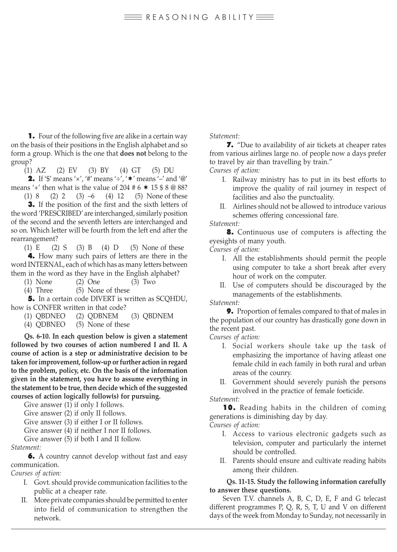## $\equiv$ REASONING ABILITY

1. Four of the following five are alike in a certain way on the basis of their positions in the English alphabet and so form a group. Which is the one that **does not** belong to the group?

 $(1)$  AZ (2) EV (3) BY (4) GT (5) DU

**2.** If '\$' means ' $\times'$ , '#' means ' $\div'$ , ' $\star'$ ' means ' $\div'$  and '@' means '+' then what is the value of  $204 \text{ # } 6 \text{ * } 15 \text{ * } 8 \text{ @ } 88?$ 

(1) 8 (2) 2 (3) –6 (4) 12 (5) None of these 3. If the position of the first and the sixth letters of the word 'PRESCRIBED' are interchanged, similarly position of the second and the seventh letters are interchanged and so on. Which letter will be fourth from the left end after the rearrangement?

(1)  $E$  (2) S (3) B (4) D (5) None of these

4. How many such pairs of letters are there in the word INTERNAL, each of which has as many letters between them in the word as they have in the English alphabet?

- (1) None (2) One (3) Two
- (4) Three (5) None of these

**5.** In a certain code DIVERT is written as SCOHDU, how is CONFER written in that code?

- (1) QBDNEO (2) QDBNEM (3) QBDNEM
- (4) QDBNEO (5) None of these

**Qs. 6-10. In each question below is given a statement followed by two courses of action numbered I and II. A course of action is a step or administrative decision to be taken for improvement, follow-up or further action in regard to the problem, policy, etc. On the basis of the information given in the statement, you have to assume everything in the statement to be true, then decide which of the suggested courses of action logically follow(s) for pursuing.**

Give answer (1) if only I follows.

Give answer (2) if only II follows.

Give answer (3) if either I or II follows.

Give answer (4) if neither I nor II follows.

Give answer (5) if both I and II follow.

*Statement:*

6. A country cannot develop without fast and easy communication.

*Courses of action:*

- I. Govt. should provide communication facilities to the public at a cheaper rate.
- II. More private companies should be permitted to enter into field of communication to strengthen the network.

### *Statement:*

7. "Due to availability of air tickets at cheaper rates from various airlines large no. of people now a days prefer to travel by air than travelling by train."

*Courses of action:*

- I. Railway ministry has to put in its best efforts to improve the quality of rail journey in respect of facilities and also the punctuality.
- II. Airlines should not be allowed to introduce various schemes offering concessional fare.

*Statement:*

8. Continuous use of computers is affecting the eyesights of many youth.

*Courses of action:*

- I. All the establishments should permit the people using computer to take a short break after every hour of work on the computer.
- II. Use of computers should be discouraged by the managements of the establishments.

### *Statement:*

9. Proportion of females compared to that of males in the population of our country has drastically gone down in the recent past.

*Courses of action:*

- I. Social workers shoule take up the task of emphasizing the importance of having atleast one female child in each family in both rural and urban areas of the counry.
- II. Government should severely punish the persons involved in the practice of female foeticide.

#### *Statement:*

10. Reading habits in the children of coming generations is diminishing day by day.

*Courses of action:*

- I. Access to various electronic gadgets such as television, computer and particularly the internet should be controlled.
- II. Parents should ensure and cultivate reading habits among their children.

## **Qs. 11-15. Study the following information carefully to answer these questions.**

Seven T.V. channels A, B, C, D, E, F and G telecast different programmes P, Q, R, S, T, U and V on different days of the week from Monday to Sunday, not necessarily in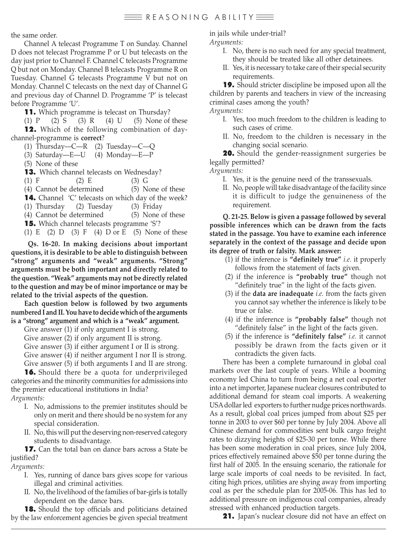the same order.

Channel A telecast Programme T on Sunday. Channel D does not telecast Programme P or U but telecasts on the day just prior to Channel F. Channel C telecasts Programme Q but not on Monday. Channel B telecasts Programme R on Tuesday. Channel G telecasts Programme V but not on Monday. Channel C telecasts on the next day of Channel G and previous day of Channel D. Programme 'P' is telecast before Programme 'U'.

**11.** Which programme is telecast on Thursday?

(1) P (2) S (3) R (4) U (5) None of these 12. Which of the following combination of daychannel-programme is **correct**?

(1) Thursday—C—R (2) Tuesday—C—Q

(3) Saturday—E—U (4) Monday—E—P

(5) None of these

**13.** Which channel telecasts on Wednesday?

(1) F (2) E (3) G

(4) Cannot be determined (5) None of these 14. Channel 'C' telecasts on which day of the week?

(1) Thursday (2) Tuesday (3) Friday

(4) Cannot be determined (5) None of these **15.** Which channel telecasts programme 'S'?

(1) E (2) D (3) F (4) D or E (5) None of these

**Qs. 16-20. In making decisions about important questions, it is desirable to be able to distinguish between "strong" arguments and "weak" arguments. "Strong" arguments must be both important and directly related to the question. "Weak" arguments may not be directly related to the question and may be of minor importance or may be related to the trivial aspects of the question.**

**Each question below is followed by two arguments numbered I and II. You have to decide which of the arguments is a "strong" argument and which is a "weak" argument.**

Give answer (1) if only argument I is strong.

Give answer (2) if only argument II is strong.

Give answer (3) if either argument I or II is strong.

Give answer (4) if neither argument I nor II is strong.

Give answer (5) if both arguments I and II are strong.

16. Should there be a quota for underprivileged categories and the minority communities for admissions into the premier educational institutions in India?

*Arguments:*

- I. No, admissions to the premier institutes should be only on merit and there should be no system for any special consideration.
- II. No, this will put the deserving non-reserved category students to disadvantage.

17. Can the total ban on dance bars across a State be justified?

## *Arguments:*

- I. Yes, running of dance bars gives scope for various illegal and criminal activities.
- II. No, the livelihood of the families of bar-girls is totally dependent on the dance bars.

**18.** Should the top officials and politicians detained by the law enforcement agencies be given special treatment in jails while under-trial?

*Arguments:*

- I. No, there is no such need for any special treatment, they should be treated like all other detainees.
- II. Yes, it is necessary to take care of their special security requirements.

19. Should stricter discipline be imposed upon all the children by parents and teachers in view of the increasing criminal cases among the youth?

*Arguments:*

- I. Yes, too much freedom to the children is leading to such cases of crime.
- II. No, freedom to the children is necessary in the changing social scenario.

20. Should the gender-reassignment surgeries be legally permitted?

*Arguments:*

- I. Yes, it is the genuine need of the transsexuals.
- II. No, people will take disadvantage of the facility since it is difficult to judge the genuineness of the requirement.

**Q. 21-25. Below is given a passage followed by several possible inferences which can be drawn from the facts stated in the passage. You have to examine each inference separately in the context of the passage and decide upon its degree of truth or falsity. Mark answer:**

- (1) if the inference is **"definitely true"** *i.e.* it properly follows from the statement of facts given.
- (2) if the inference is **"probably true"** though not "definitely true" in the light of the facts given.
- (3) if the **data are inadequate** *i.e.* from the facts given you cannot say whether the inference is likely to be true or false.
- (4) if the inference is **"probably false"** though not "definitely false" in the light of the facts given.
- (5) if the inference is **"definitely false"** *i.e.* it cannot possibly be drawn from the facts given or it contradicts the given facts.

There has been a complete turnaround in global coal markets over the last couple of years. While a booming economy led China to turn from being a net coal exporter into a net importer, Japanese nuclear closures contributed to additional demand for steam coal imports. A weakening USA dollar led exporters to further nudge prices northwards. As a result, global coal prices jumped from about \$25 per tonne in 2003 to over \$60 per tonne by July 2004. Above all Chinese demand for commodities sent bulk cargo freight rates to dizzying heights of \$25-30 per tonne. While there has been some moderation in coal prices, since July 2004, prices effectively remained above \$50 per tonne during the first half of 2005. In the ensuing scenario, the rationale for large scale imports of coal needs to be revisited. In fact, citing high prices, utilities are shying away from importing coal as per the schedule plan for 2005-06. This has led to additional pressure on indigenous coal companies, already stressed with enhanced production targets.

21. Japan's nuclear closure did not have an effect on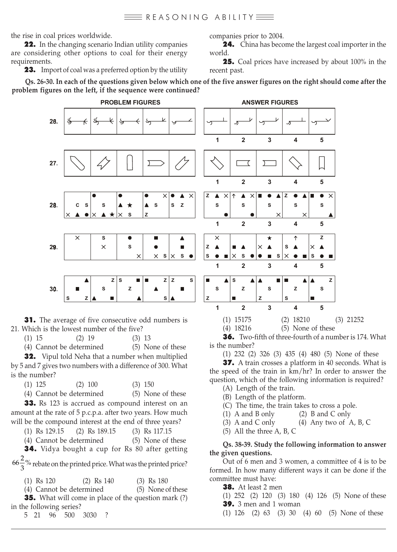the rise in coal prices worldwide.

22. In the changing scenario Indian utility companies are considering other options to coal for their energy requirements.

**23.** Import of coal was a preferred option by the utility

companies prior to 2004.

24. China has become the largest coal importer in the world.

25. Coal prices have increased by about 100% in the recent past.

**Qs. 26-30. In each of the questions given below which one of the five answer figures on the right should come after the problem figures on the left, if the sequence were continued?**



**31.** The average of five consecutive odd numbers is 21. Which is the lowest number of the five?

(1) 15 (2) 19 (3) 13

(4) Cannot be determined (5) None of these

**32.** Vipul told Neha that a number when multiplied by 5 and 7 gives two numbers with a difference of 300. What is the number?

(1) 125 (2) 100 (3) 150

(4) Cannot be determined (5) None of these

33. Rs 123 is accrued as compound interest on an amount at the rate of 5 p.c.p.a. after two years. How much will be the compound interest at the end of three years?

(1) Rs 129.15 (2) Rs 189.15 (3) Rs 117.15

(4) Cannot be determined (5) None of these

34. Vidya bought a cup for Rs 80 after getting

 $66\frac{2}{3}$ % rebate on the printed price. What was the printed price?

(1) Rs 120 (2) Rs 140 (3) Rs 180

(4) Cannot be determined (5) None of these

**35.** What will come in place of the question mark (?) in the following series?

5 21 96 500 3030 ?

36. Two-fifth of three-fourth of a number is 174. What is the number?

(1) 15175 (2) 18210 (3) 21252

(4) 18216 (5) None of these

(1) 232 (2) 326 (3) 435 (4) 480 (5) None of these

37. A train crosses a platform in 40 seconds. What is the speed of the train in km/hr? In order to answer the question, which of the following information is required?

- (A) Length of the train.
- (B) Length of the platform.

(C) The time, the train takes to cross a pole.

- (1) A and B only (2) B and C only
- (3) A and C only (4) Any two of A, B, C
- (5) All the three A, B, C

## **Qs. 38-39. Study the following information to answer the given questions.**

Out of 6 men and 3 women, a committee of 4 is to be formed. In how many different ways it can be done if the committee must have:

38. At least 2 men

(1) 252 (2) 120 (3) 180 (4) 126 (5) None of these **39.** 3 men and 1 woman

(1) 126 (2) 63 (3) 30 (4) 60 (5) None of these